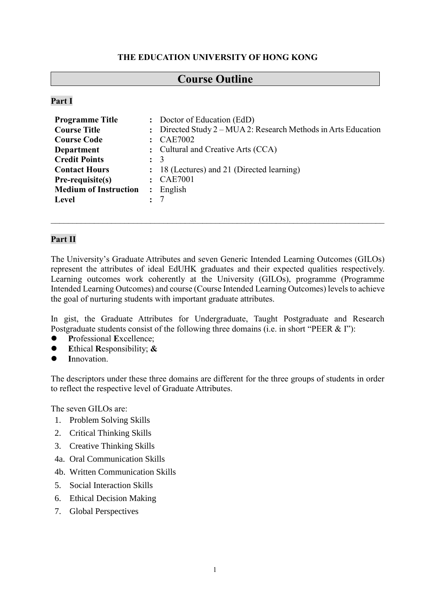## **THE EDUCATION UNIVERSITY OF HONG KONG**

# **Course Outline**

## **Part I**

| <b>Programme Title</b>       | $\ddot{\phantom{a}}$ | Doctor of Education (EdD)                                        |
|------------------------------|----------------------|------------------------------------------------------------------|
| <b>Course Title</b>          |                      | : Directed Study $2 - MUA$ 2: Research Methods in Arts Education |
| <b>Course Code</b>           |                      | <b>CAE7002</b>                                                   |
| <b>Department</b>            |                      | : Cultural and Creative Arts (CCA)                               |
| <b>Credit Points</b>         | $\mathbf{L}$         | -3                                                               |
| <b>Contact Hours</b>         |                      | : 18 (Lectures) and 21 (Directed learning)                       |
| Pre-requisite(s)             |                      | <b>CAE7001</b>                                                   |
| <b>Medium of Instruction</b> | $\ddot{\cdot}$       | English                                                          |
| Level                        |                      |                                                                  |

## **Part II**

The University's Graduate Attributes and seven Generic Intended Learning Outcomes (GILOs) represent the attributes of ideal EdUHK graduates and their expected qualities respectively. Learning outcomes work coherently at the University (GILOs), programme (Programme Intended Learning Outcomes) and course (Course Intended Learning Outcomes) levels to achieve the goal of nurturing students with important graduate attributes.

In gist, the Graduate Attributes for Undergraduate, Taught Postgraduate and Research Postgraduate students consist of the following three domains (i.e. in short "PEER & I"):

- **P**rofessional **E**xcellence;
- **E**thical **R**esponsibility; **&**
- **I**nnovation.

The descriptors under these three domains are different for the three groups of students in order to reflect the respective level of Graduate Attributes.

The seven GILOs are:

- 1. Problem Solving Skills
- 2. Critical Thinking Skills
- 3. Creative Thinking Skills
- 4a. Oral Communication Skills
- 4b. Written Communication Skills
- 5. Social Interaction Skills
- 6. Ethical Decision Making
- 7. Global Perspectives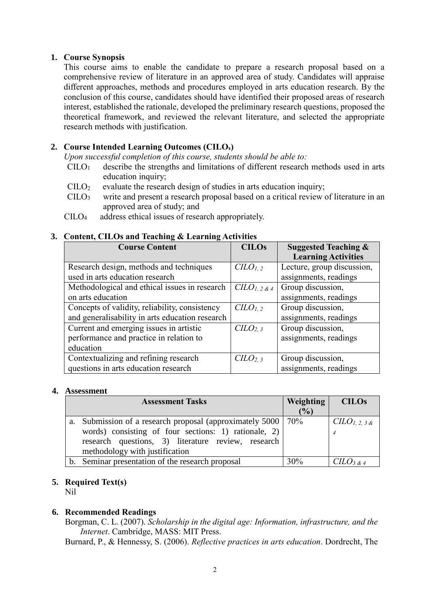## **1. Course Synopsis**

This course aims to enable the candidate to prepare a research proposal based on a comprehensive review of literature in an approved area of study. Candidates will appraise different approaches, methods and procedures employed in arts education research. By the conclusion of this course, candidates should have identified their proposed areas of research interest, established the rationale, developed the preliminary research questions, proposed the theoretical framework, and reviewed the relevant literature, and selected the appropriate research methods with justification.

## **2. Course Intended Learning Outcomes (CILOs)**

*Upon successful completion of this course, students should be able to:*

- $C I L O<sub>1</sub>$  describe the strengths and limitations of different research methods used in arts education inquiry;
- $\text{CILO}_2$  evaluate the research design of studies in arts education inquiry;
- CILO<sup>3</sup> write and present a research proposal based on a critical review of literature in an approved area of study; and
- CILO4 address ethical issues of research appropriately.

## **3. Content, CILOs and Teaching & Learning Activities**

| <b>Course Content</b>                           | <b>CILOs</b>                    | <b>Suggested Teaching &amp;</b> |  |
|-------------------------------------------------|---------------------------------|---------------------------------|--|
|                                                 |                                 | <b>Learning Activities</b>      |  |
| Research design, methods and techniques         | C <sub>LO<sub>1,2</sub></sub>   | Lecture, group discussion,      |  |
| used in arts education research                 |                                 | assignments, readings           |  |
| Methodological and ethical issues in research   | $CLO_{1,2}$ &4                  | Group discussion,               |  |
| on arts education                               |                                 | assignments, readings           |  |
| Concepts of validity, reliability, consistency  | C <sub>LO<sub>1,2</sub></sub>   | Group discussion,               |  |
| and generalisability in arts education research |                                 | assignments, readings           |  |
| Current and emerging issues in artistic         | C <sub>LO<sub>2,3</sub></sub>   | Group discussion,               |  |
| performance and practice in relation to         |                                 | assignments, readings           |  |
| education                                       |                                 |                                 |  |
| Contextualizing and refining research           | C <sub>LO</sub> <sub>2, 3</sub> | Group discussion,               |  |
| questions in arts education research            |                                 | assignments, readings           |  |

#### **4. Assessment**

| <b>Assessment Tasks</b>                                        | <b>Weighting</b> | <b>CILOS</b>       |
|----------------------------------------------------------------|------------------|--------------------|
|                                                                | (%)              |                    |
| a. Submission of a research proposal (approximately 5000   70% |                  | $CLO_{1,2,3,8}$    |
| words) consisting of four sections: 1) rationale, 2)           |                  |                    |
| research questions, 3) literature review, research             |                  |                    |
| methodology with justification                                 |                  |                    |
| Seminar presentation of the research proposal<br>$b_{\cdot}$   |                  | $C\ddot{L}O_3$ & 4 |

## **5. Required Text(s)**

Nil

## **6. Recommended Readings**

Borgman, C. L. (2007). *Scholarship in the digital age: Information, infrastructure, and the Internet*. Cambridge, MASS: MIT Press.

Burnard, P., & Hennessy, S. (2006). *Reflective practices in arts education*. Dordrecht, The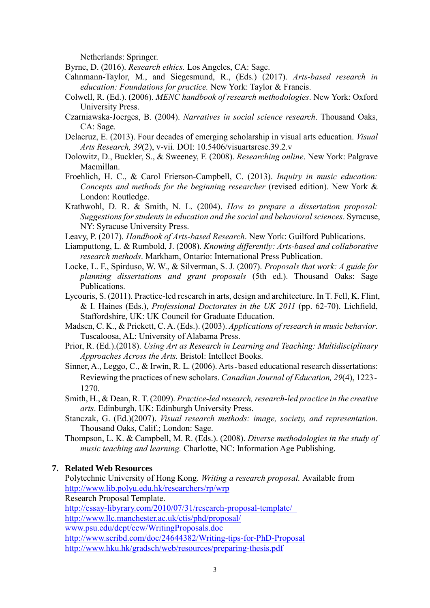Netherlands: Springer.

Byrne, D. (2016). *Research ethics.* Los Angeles, CA: Sage.

- Cahnmann-Taylor, M., and Siegesmund, R., (Eds.) (2017). *Arts-based research in education: Foundations for practice.* New York: Taylor & Francis.
- Colwell, R. (Ed.). (2006). *MENC handbook of research methodologies*. New York: Oxford University Press.
- Czarniawska-Joerges, B. (2004). *Narratives in social science research*. Thousand Oaks, CA: Sage.
- Delacruz, E. (2013). Four decades of emerging scholarship in visual arts education. *Visual Arts Research, 39*(2), v-vii. DOI: 10.5406/visuartsrese.39.2.v
- Dolowitz, D., Buckler, S., & Sweeney, F. (2008). *Researching online*. New York: Palgrave Macmillan.
- Froehlich, H. C., & Carol Frierson-Campbell, C. (2013). *Inquiry in music education: Concepts and methods for the beginning researcher* (revised edition). New York & London: Routledge.
- Krathwohl, D. R. & Smith, N. L. (2004). *How to prepare a dissertation proposal: Suggestions for students in education and the social and behavioral sciences*. Syracuse, NY: Syracuse University Press.
- Leavy, P. (2017). *Handbook of Arts-based Research*. New York: Guilford Publications.
- Liamputtong, L. & Rumbold, J. (2008). *Knowing differently: Arts-based and collaborative research methods*. Markham, Ontario: International Press Publication.
- Locke, L. F., Spirduso, W. W., & Silverman, S. J. (2007). *Proposals that work: A guide for planning dissertations and grant proposals* (5th ed.). Thousand Oaks: Sage Publications.
- Lycouris, S. (2011). Practice-led research in arts, design and architecture. In T. Fell, K. Flint, & I. Haines (Eds.), *Professional Doctorates in the UK 2011* (pp. 62-70). Lichfield, Staffordshire, UK: UK Council for Graduate Education.
- Madsen, C. K., & Prickett, C. A. (Eds.). (2003). *Applications of research in music behavior*. Tuscaloosa, AL: University of Alabama Press.
- Prior, R. (Ed.).(2018). *Using Art as Research in Learning and Teaching: Multidisciplinary Approaches Across the Arts.* Bristol: Intellect Books.
- Sinner, A., Leggo, C., & Irwin, R. L. (2006). Arts-based educational research dissertations: Reviewing the practices of new scholars. *Canadian Journal of Education, 29*(4), 1223‐ 1270.
- Smith, H., & Dean, R. T. (2009). *Practice-led research, research-led practice in the creative arts*. Edinburgh, UK: Edinburgh University Press.
- Stanczak, G. (Ed.)(2007). *Visual research methods: image, society, and representation*. Thousand Oaks, Calif.; London: Sage.
- Thompson, L. K. & Campbell, M. R. (Eds.). (2008). *Diverse methodologies in the study of music teaching and learning.* Charlotte, NC: Information Age Publishing.

#### **7. Related Web Resources**

Polytechnic University of Hong Kong. *Writing a research proposal.* Available from <http://www.lib.polyu.edu.hk/researchers/rp/wrp> Research Proposal Template. [http://essay-libyrary.com/2010/07/31/research-proposal-template/](http://essay-library.com/2010/07/31/research-proposal-template/) <http://www.llc.manchester.ac.uk/ctis/phd/proposal/> [www.psu.edu/dept/cew/WritingProposals.doc](http://www.psu.edu/dept/cew/WritingProposals.doc) <http://www.scribd.com/doc/24644382/Writing-tips-for-PhD-Proposal> <http://www.hku.hk/gradsch/web/resources/preparing-thesis.pdf>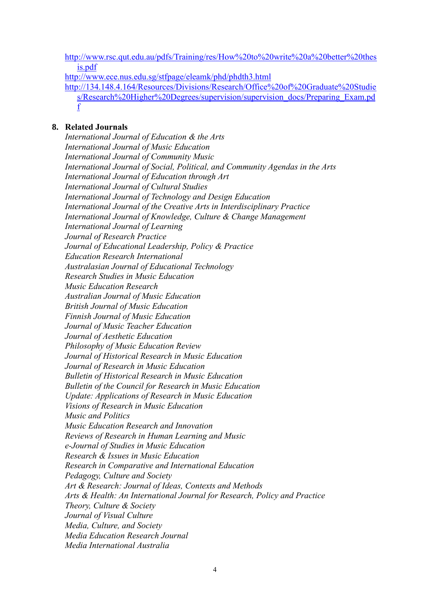[http://www.rsc.qut.edu.au/pdfs/Training/res/How%20to%20write%20a%20better%20thes](http://www.rsc.qut.edu.au/pdfs/Training/res/How%20to%20write%20a%20better%20thesis.pdf) [is.pdf](http://www.rsc.qut.edu.au/pdfs/Training/res/How%20to%20write%20a%20better%20thesis.pdf)

<http://www.ece.nus.edu.sg/stfpage/eleamk/phd/phdth3.html>

[http://134.148.4.164/Resources/Divisions/Research/Office%20of%20Graduate%20Studie](http://134.148.4.164/Resources/Divisions/Research/Office%20of%20Graduate%20Studies/Research%20Higher%20Degrees/supervision/supervision_docs/Preparing_Exam.pdf) [s/Research%20Higher%20Degrees/supervision/supervision\\_docs/Preparing\\_Exam.pd](http://134.148.4.164/Resources/Divisions/Research/Office%20of%20Graduate%20Studies/Research%20Higher%20Degrees/supervision/supervision_docs/Preparing_Exam.pdf) [f](http://134.148.4.164/Resources/Divisions/Research/Office%20of%20Graduate%20Studies/Research%20Higher%20Degrees/supervision/supervision_docs/Preparing_Exam.pdf)

## **8. Related Journals**

*International Journal of Education & the Arts International Journal of Music Education [International Journal of Community Music](http://www.intellectbooks.co.uk/journals.php?issn=17526299) International Journal of Social, Political, and Community Agendas in the Arts International Journal of Education through Art International Journal of Cultural Studies International Journal of [Technology and Design Education](http://www.springer.com/education/journal/10798) [International Journal of the Creative Arts in Interdisciplinary Practice](http://www.ijcaip.com/) International Journal of Knowledge, Culture & Change Management International Journal of Learning Journal of Research Practice [Journal of Educational Leadership, Policy & Practice](http://search.informit.com.au/browseJournalTitle;res=IELHSS;issn=1178-8690) Education Research International [Australasian Journal of Educational Technology](http://www.ascilite.org.au/ajet/ajet.html) Research Studies in Music Education Music Education Research Australian Journal of Music Education British Journal of Music Education Finnish Journal of Music Education [Journal of Music Teacher Education](http://jmt.sagepub.com/) [Journal of Aesthetic Education](http://muse.jhu.edu/journals/the_journal_of_aesthetic_education/) [Philosophy of Music Education Review](http://muse.jhu.edu/journals/pme/)  [Journal of Historical Research in Music Education](http://www.utc.edu/Faculty/William-Lee/Journal.html)  Journal of Research in Music Education Bulletin of Historical Research in Music Education [Bulletin of the Council for Research in Music Education](http://www.crme.uiuc.edu/)  Update: Applications of Research in Music Education [Visions of Research in Music Education](http://www-usr.rider.edu/~vrme/)  [Music and Politics](http://www.tandf.co.uk/journals/titles/14649365.asp) Music Education Research and Innovation [Reviews of Research in Human Learning a](http://cml.music.utexas.edu/journal.htm)nd Music e-Journal of Studies in Music Education Research & Issues in Music Education [Research in Comparative and International Education](http://www.wwwords.co.uk/rcie/) [Pedagogy, Culture and Society](http://www.tandf.co.uk/journals/titles/14681366.asp) Art & Research: Journal of Ideas, Contexts and Methods Arts & Health: An International Journal for Research, Policy and Practice Theory, Culture & Society Journal of Visual Culture Media, Culture, and Society Media Education Research Journal [Media International Australia](http://www.uq.edu.au/mia/)*